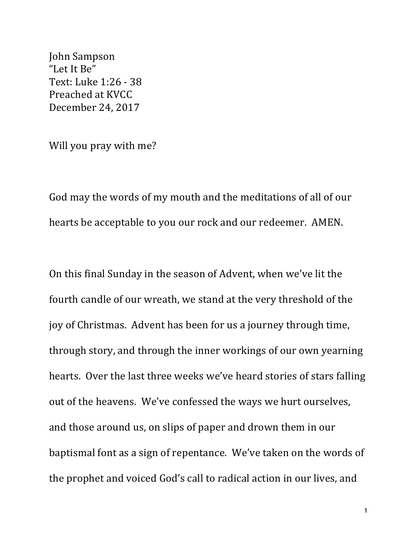John Sampson "Let It Be" Text: Luke 1:26 - 38 Preached at KVCC December 24, 2017

Will you pray with me?

God may the words of my mouth and the meditations of all of our hearts be acceptable to you our rock and our redeemer. AMEN.

On this final Sunday in the season of Advent, when we've lit the fourth candle of our wreath, we stand at the very threshold of the joy of Christmas. Advent has been for us a journey through time, through story, and through the inner workings of our own yearning hearts. Over the last three weeks we've heard stories of stars falling out of the heavens. We've confessed the ways we hurt ourselves, and those around us, on slips of paper and drown them in our baptismal font as a sign of repentance. We've taken on the words of the prophet and voiced God's call to radical action in our lives, and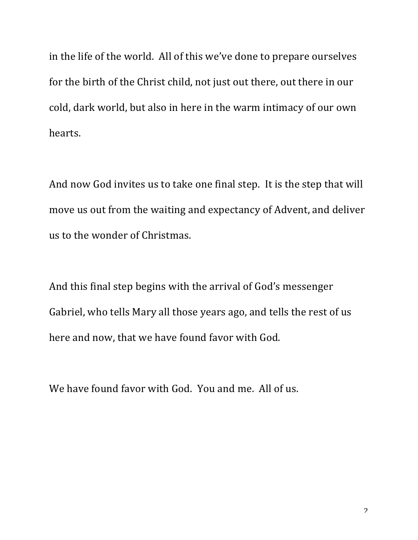in the life of the world. All of this we've done to prepare ourselves for the birth of the Christ child, not just out there, out there in our cold, dark world, but also in here in the warm intimacy of our own hearts.

And now God invites us to take one final step. It is the step that will move us out from the waiting and expectancy of Advent, and deliver us to the wonder of Christmas.

And this final step begins with the arrival of God's messenger Gabriel, who tells Mary all those years ago, and tells the rest of us here and now, that we have found favor with God.

We have found favor with God. You and me. All of us.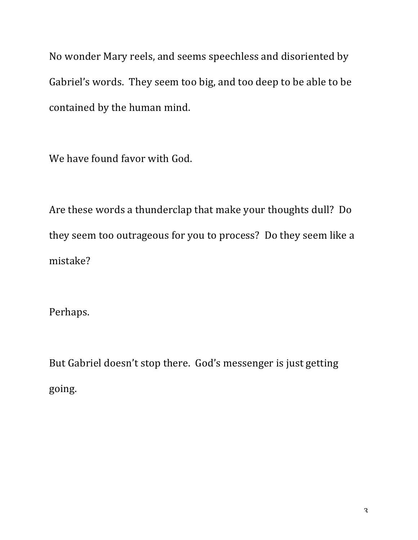No wonder Mary reels, and seems speechless and disoriented by Gabriel's words. They seem too big, and too deep to be able to be contained by the human mind.

We have found favor with God.

Are these words a thunderclap that make your thoughts dull? Do they seem too outrageous for you to process? Do they seem like a mistake?

Perhaps.

But Gabriel doesn't stop there. God's messenger is just getting going.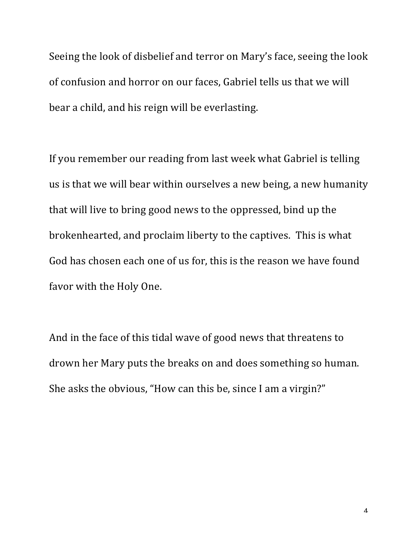Seeing the look of disbelief and terror on Mary's face, seeing the look of confusion and horror on our faces, Gabriel tells us that we will bear a child, and his reign will be everlasting.

If you remember our reading from last week what Gabriel is telling us is that we will bear within ourselves a new being, a new humanity that will live to bring good news to the oppressed, bind up the brokenhearted, and proclaim liberty to the captives. This is what God has chosen each one of us for, this is the reason we have found favor with the Holy One.

And in the face of this tidal wave of good news that threatens to drown her Mary puts the breaks on and does something so human. She asks the obvious, "How can this be, since I am a virgin?"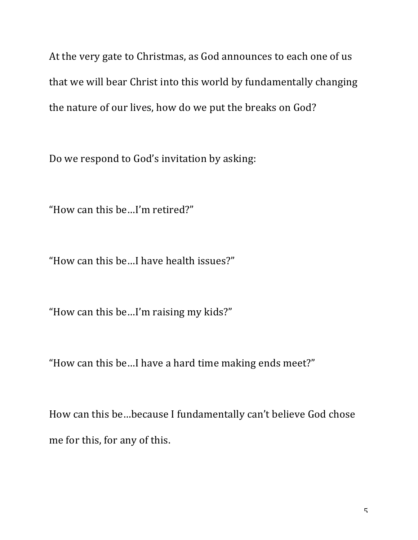At the very gate to Christmas, as God announces to each one of us that we will bear Christ into this world by fundamentally changing the nature of our lives, how do we put the breaks on God?

Do we respond to God's invitation by asking:

"How can this be...I'm retired?"

"How can this be...I have health issues?"

"How can this be...I'm raising my kids?"

"How can this be...I have a hard time making ends meet?"

How can this be...because I fundamentally can't believe God chose me for this, for any of this.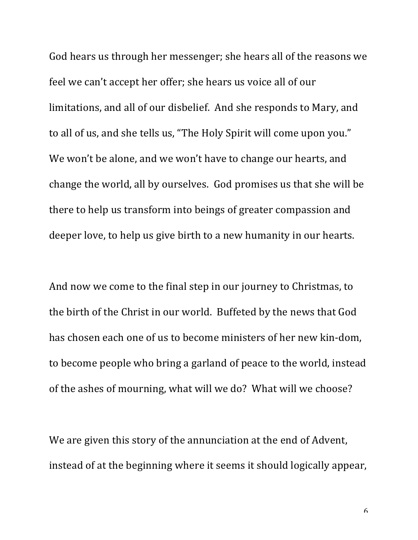God hears us through her messenger; she hears all of the reasons we feel we can't accept her offer; she hears us voice all of our limitations, and all of our disbelief. And she responds to Mary, and to all of us, and she tells us, "The Holy Spirit will come upon you." We won't be alone, and we won't have to change our hearts, and change the world, all by ourselves. God promises us that she will be there to help us transform into beings of greater compassion and deeper love, to help us give birth to a new humanity in our hearts.

And now we come to the final step in our journey to Christmas, to the birth of the Christ in our world. Buffeted by the news that God has chosen each one of us to become ministers of her new kin-dom. to become people who bring a garland of peace to the world, instead of the ashes of mourning, what will we do? What will we choose?

We are given this story of the annunciation at the end of Advent, instead of at the beginning where it seems it should logically appear,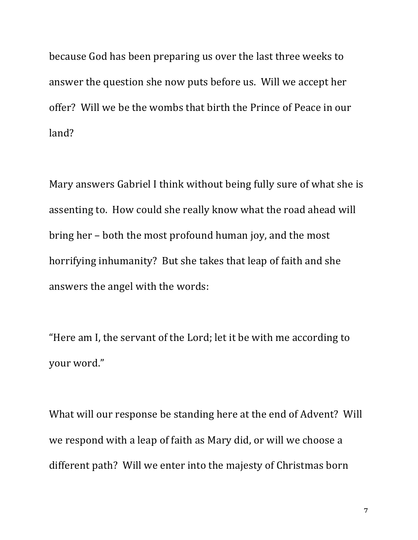because God has been preparing us over the last three weeks to answer the question she now puts before us. Will we accept her offer? Will we be the wombs that birth the Prince of Peace in our land?

Mary answers Gabriel I think without being fully sure of what she is assenting to. How could she really know what the road ahead will bring her – both the most profound human joy, and the most horrifying inhumanity? But she takes that leap of faith and she answers the angel with the words:

"Here am I, the servant of the Lord; let it be with me according to vour word."

What will our response be standing here at the end of Advent? Will we respond with a leap of faith as Mary did, or will we choose a different path? Will we enter into the majesty of Christmas born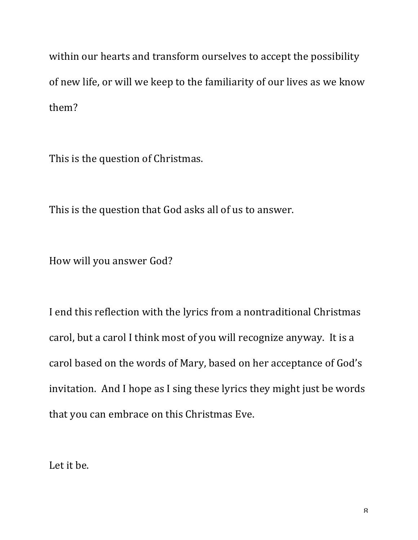within our hearts and transform ourselves to accept the possibility of new life, or will we keep to the familiarity of our lives as we know them?

This is the question of Christmas.

This is the question that God asks all of us to answer.

How will you answer God?

I end this reflection with the lyrics from a nontraditional Christmas carol, but a carol I think most of you will recognize anyway. It is a carol based on the words of Mary, based on her acceptance of God's invitation. And I hope as I sing these lyrics they might just be words that you can embrace on this Christmas Eve.

Let it be.